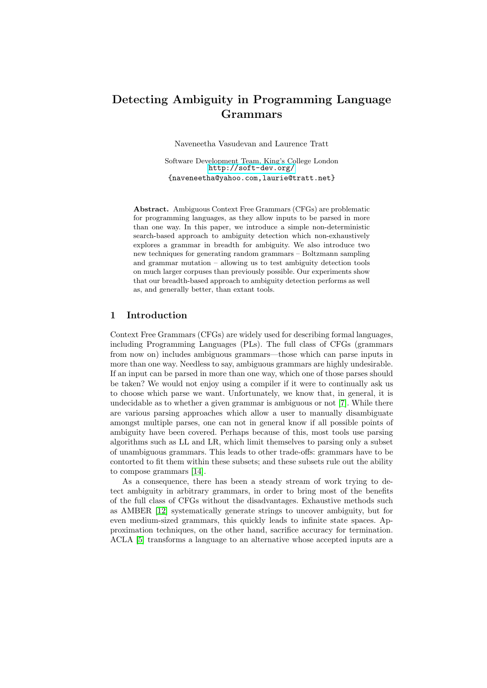# Detecting Ambiguity in Programming Language Grammars

Naveneetha Vasudevan and Laurence Tratt

Software Development Team, King's College London <http://soft-dev.org/> {naveneetha@yahoo.com,laurie@tratt.net}

Abstract. Ambiguous Context Free Grammars (CFGs) are problematic for programming languages, as they allow inputs to be parsed in more than one way. In this paper, we introduce a simple non-deterministic search-based approach to ambiguity detection which non-exhaustively explores a grammar in breadth for ambiguity. We also introduce two new techniques for generating random grammars – Boltzmann sampling and grammar mutation – allowing us to test ambiguity detection tools on much larger corpuses than previously possible. Our experiments show that our breadth-based approach to ambiguity detection performs as well as, and generally better, than extant tools.

# 1 Introduction

Context Free Grammars (CFGs) are widely used for describing formal languages, including Programming Languages (PLs). The full class of CFGs (grammars from now on) includes ambiguous grammars—those which can parse inputs in more than one way. Needless to say, ambiguous grammars are highly undesirable. If an input can be parsed in more than one way, which one of those parses should be taken? We would not enjoy using a compiler if it were to continually ask us to choose which parse we want. Unfortunately, we know that, in general, it is undecidable as to whether a given grammar is ambiguous or not [\[7\]](#page-18-0). While there are various parsing approaches which allow a user to manually disambiguate amongst multiple parses, one can not in general know if all possible points of ambiguity have been covered. Perhaps because of this, most tools use parsing algorithms such as LL and LR, which limit themselves to parsing only a subset of unambiguous grammars. This leads to other trade-offs: grammars have to be contorted to fit them within these subsets; and these subsets rule out the ability to compose grammars [\[14\]](#page-18-1).

As a consequence, there has been a steady stream of work trying to detect ambiguity in arbitrary grammars, in order to bring most of the benefits of the full class of CFGs without the disadvantages. Exhaustive methods such as AMBER [\[12\]](#page-18-2) systematically generate strings to uncover ambiguity, but for even medium-sized grammars, this quickly leads to infinite state spaces. Approximation techniques, on the other hand, sacrifice accuracy for termination. ACLA [\[5\]](#page-18-3) transforms a language to an alternative whose accepted inputs are a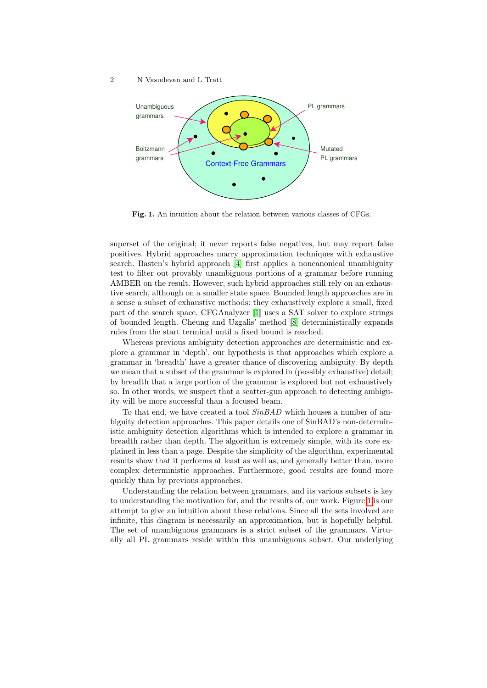

<span id="page-1-0"></span>Fig. 1. An intuition about the relation between various classes of CFGs.

superset of the original; it never reports false negatives, but may report false positives. Hybrid approaches marry approximation techniques with exhaustive search. Basten's hybrid approach [\[4\]](#page-18-4) first applies a noncanonical unambiguity test to filter out provably unambiguous portions of a grammar before running AMBER on the result. However, such hybrid approaches still rely on an exhaustive search, although on a smaller state space. Bounded length approaches are in a sense a subset of exhaustive methods: they exhaustively explore a small, fixed part of the search space. CFGAnalyzer [\[1\]](#page-18-5) uses a SAT solver to explore strings of bounded length. Cheung and Uzgalis' method [\[8\]](#page-18-6) deterministically expands rules from the start terminal until a fixed bound is reached.

Whereas previous ambiguity detection approaches are deterministic and explore a grammar in 'depth', our hypothesis is that approaches which explore a grammar in 'breadth' have a greater chance of discovering ambiguity. By depth we mean that a subset of the grammar is explored in (possibly exhaustive) detail; by breadth that a large portion of the grammar is explored but not exhaustively so. In other words, we suspect that a scatter-gun approach to detecting ambiguity will be more successful than a focused beam.

To that end, we have created a tool SinBAD which houses a number of ambiguity detection approaches. This paper details one of SinBAD's non-deterministic ambiguity detection algorithms which is intended to explore a grammar in breadth rather than depth. The algorithm is extremely simple, with its core explained in less than a page. Despite the simplicity of the algorithm, experimental results show that it performs at least as well as, and generally better than, more complex deterministic approaches. Furthermore, good results are found more quickly than by previous approaches.

Understanding the relation between grammars, and its various subsets is key to understanding the motivation for, and the results of, our work. Figure [1](#page-1-0) is our attempt to give an intuition about these relations. Since all the sets involved are infinite, this diagram is necessarily an approximation, but is hopefully helpful. The set of unambiguous grammars is a strict subset of the grammars. Virtually all PL grammars reside within this unambiguous subset. Our underlying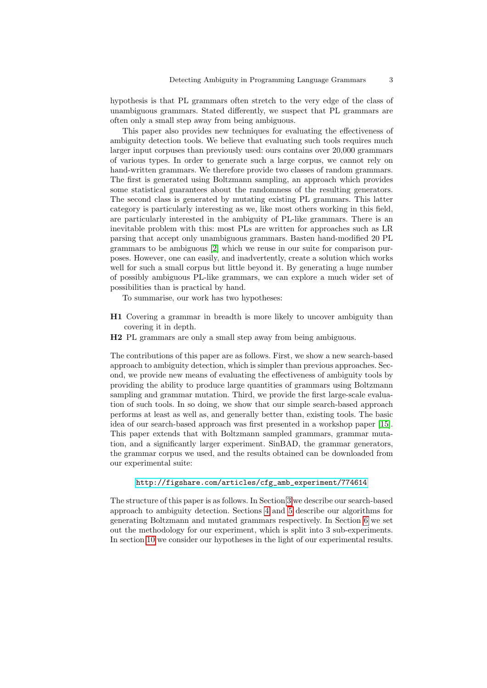hypothesis is that PL grammars often stretch to the very edge of the class of unambiguous grammars. Stated differently, we suspect that PL grammars are often only a small step away from being ambiguous.

This paper also provides new techniques for evaluating the effectiveness of ambiguity detection tools. We believe that evaluating such tools requires much larger input corpuses than previously used: ours contains over 20,000 grammars of various types. In order to generate such a large corpus, we cannot rely on hand-written grammars. We therefore provide two classes of random grammars. The first is generated using Boltzmann sampling, an approach which provides some statistical guarantees about the randomness of the resulting generators. The second class is generated by mutating existing PL grammars. This latter category is particularly interesting as we, like most others working in this field, are particularly interested in the ambiguity of PL-like grammars. There is an inevitable problem with this: most PLs are written for approaches such as LR parsing that accept only unambiguous grammars. Basten hand-modified 20 PL grammars to be ambiguous [\[2\]](#page-18-7) which we reuse in our suite for comparison purposes. However, one can easily, and inadvertently, create a solution which works well for such a small corpus but little beyond it. By generating a huge number of possibly ambiguous PL-like grammars, we can explore a much wider set of possibilities than is practical by hand.

To summarise, our work has two hypotheses:

- H1 Covering a grammar in breadth is more likely to uncover ambiguity than covering it in depth.
- H2 PL grammars are only a small step away from being ambiguous.

The contributions of this paper are as follows. First, we show a new search-based approach to ambiguity detection, which is simpler than previous approaches. Second, we provide new means of evaluating the effectiveness of ambiguity tools by providing the ability to produce large quantities of grammars using Boltzmann sampling and grammar mutation. Third, we provide the first large-scale evaluation of such tools. In so doing, we show that our simple search-based approach performs at least as well as, and generally better than, existing tools. The basic idea of our search-based approach was first presented in a workshop paper [\[15\]](#page-18-8). This paper extends that with Boltzmann sampled grammars, grammar mutation, and a significantly larger experiment. SinBAD, the grammar generators, the grammar corpus we used, and the results obtained can be downloaded from our experimental suite:

## [http://figshare.com/articles/cfg\\_amb\\_experiment/774614](http://figshare.com/articles/cfg_amb_experiment/774614)

The structure of this paper is as follows. In Section [3](#page-3-0) we describe our search-based approach to ambiguity detection. Sections [4](#page-6-0) and [5](#page-8-0) describe our algorithms for generating Boltzmann and mutated grammars respectively. In Section [6](#page-9-0) we set out the methodology for our experiment, which is split into 3 sub-experiments. In section [10](#page-16-0) we consider our hypotheses in the light of our experimental results.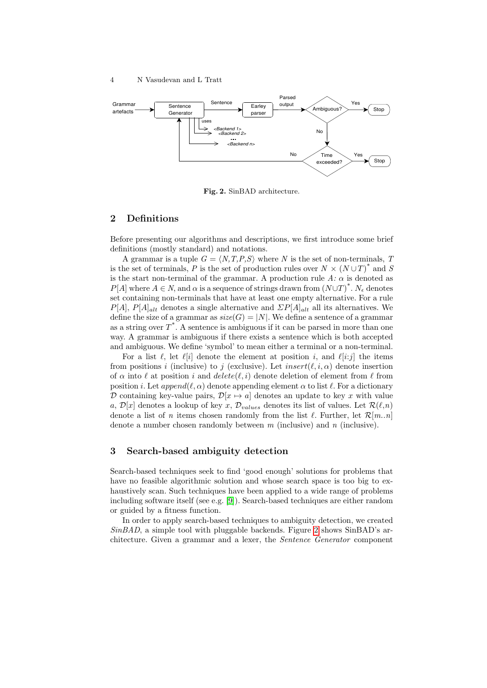

<span id="page-3-1"></span>Fig. 2. SinBAD architecture.

# 2 Definitions

Before presenting our algorithms and descriptions, we first introduce some brief definitions (mostly standard) and notations.

A grammar is a tuple  $G = \langle N, T, P, S \rangle$  where N is the set of non-terminals, T is the set of terminals, P is the set of production rules over  $N \times (N \cup T)^{*}$  and S is the start non-terminal of the grammar. A production rule  $A: \alpha$  is denoted as  $P[A]$  where  $A \in N$ , and  $\alpha$  is a sequence of strings drawn from  $(N \cup T)^*$ .  $N_{\epsilon}$  denotes set containing non-terminals that have at least one empty alternative. For a rule  $P[A], P[A]_{alt}$  denotes a single alternative and  $\sum P[A]_{alt}$  all its alternatives. We define the size of a grammar as  $size(G) = |N|$ . We define a sentence of a grammar as a string over  $T^*$ . A sentence is ambiguous if it can be parsed in more than one way. A grammar is ambiguous if there exists a sentence which is both accepted and ambiguous. We define 'symbol' to mean either a terminal or a non-terminal.

For a list  $\ell$ , let  $\ell[i]$  denote the element at position i, and  $\ell[i:j]$  the items from positions i (inclusive) to j (exclusive). Let  $insert(\ell, i, \alpha)$  denote insertion of  $\alpha$  into  $\ell$  at position i and  $delete(\ell, i)$  denote deletion of element from  $\ell$  from position *i*. Let  $append(\ell, \alpha)$  denote appending element  $\alpha$  to list  $\ell$ . For a dictionary D containing key-value pairs,  $\mathcal{D}[x \mapsto a]$  denotes an update to key x with value a,  $\mathcal{D}[x]$  denotes a lookup of key x,  $\mathcal{D}_{values}$  denotes its list of values. Let  $\mathcal{R}(\ell,n)$ denote a list of *n* items chosen randomly from the list  $\ell$ . Further, let  $\mathcal{R}[m..n]$ denote a number chosen randomly between  $m$  (inclusive) and  $n$  (inclusive).

# <span id="page-3-0"></span>3 Search-based ambiguity detection

Search-based techniques seek to find 'good enough' solutions for problems that have no feasible algorithmic solution and whose search space is too big to exhaustively scan. Such techniques have been applied to a wide range of problems including software itself (see e.g. [\[9\]](#page-18-9)). Search-based techniques are either random or guided by a fitness function.

In order to apply search-based techniques to ambiguity detection, we created SinBAD, a simple tool with pluggable backends. Figure [2](#page-3-1) shows SinBAD's architecture. Given a grammar and a lexer, the Sentence Generator component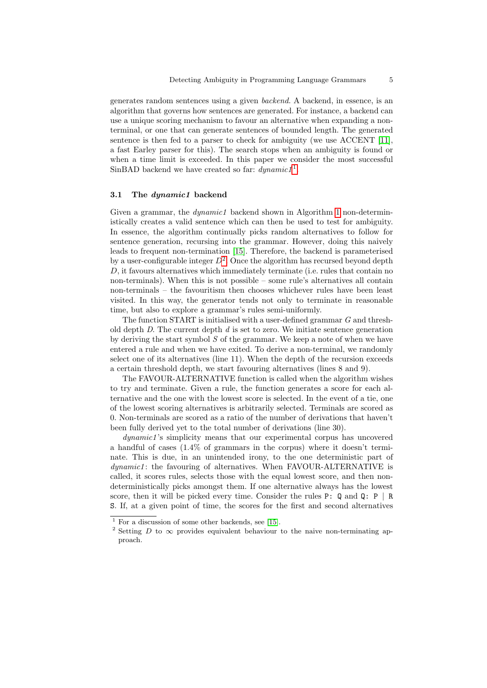generates random sentences using a given backend. A backend, in essence, is an algorithm that governs how sentences are generated. For instance, a backend can use a unique scoring mechanism to favour an alternative when expanding a nonterminal, or one that can generate sentences of bounded length. The generated sentence is then fed to a parser to check for ambiguity (we use ACCENT [\[11\]](#page-18-10), a fast Earley parser for this). The search stops when an ambiguity is found or when a time limit is exceeded. In this paper we consider the most successful SinBAD backend we have created so far:  $dynamic1<sup>1</sup>$  $dynamic1<sup>1</sup>$  $dynamic1<sup>1</sup>$ .

#### 3.1 The dynamic1 backend

Given a grammar, the *dynamic1* backend shown in Algorithm [1](#page-5-0) non-deterministically creates a valid sentence which can then be used to test for ambiguity. In essence, the algorithm continually picks random alternatives to follow for sentence generation, recursing into the grammar. However, doing this naively leads to frequent non-termination [\[15\]](#page-18-8). Therefore, the backend is parameterised by a user-configurable integer  $D^2$  $D^2$ . Once the algorithm has recursed beyond depth D, it favours alternatives which immediately terminate (i.e. rules that contain no non-terminals). When this is not possible – some rule's alternatives all contain non-terminals – the favouritism then chooses whichever rules have been least visited. In this way, the generator tends not only to terminate in reasonable time, but also to explore a grammar's rules semi-uniformly.

The function START is initialised with a user-defined grammar G and threshold depth D. The current depth  $d$  is set to zero. We initiate sentence generation by deriving the start symbol  $S$  of the grammar. We keep a note of when we have entered a rule and when we have exited. To derive a non-terminal, we randomly select one of its alternatives (line 11). When the depth of the recursion exceeds a certain threshold depth, we start favouring alternatives (lines 8 and 9).

The FAVOUR-ALTERNATIVE function is called when the algorithm wishes to try and terminate. Given a rule, the function generates a score for each alternative and the one with the lowest score is selected. In the event of a tie, one of the lowest scoring alternatives is arbitrarily selected. Terminals are scored as 0. Non-terminals are scored as a ratio of the number of derivations that haven't been fully derived yet to the total number of derivations (line 30).

dynamic1 's simplicity means that our experimental corpus has uncovered a handful of cases (1.4% of grammars in the corpus) where it doesn't terminate. This is due, in an unintended irony, to the one deterministic part of dynamic1: the favouring of alternatives. When FAVOUR-ALTERNATIVE is called, it scores rules, selects those with the equal lowest score, and then nondeterministically picks amongst them. If one alternative always has the lowest score, then it will be picked every time. Consider the rules  $P: Q$  and  $Q: P | R$ S. If, at a given point of time, the scores for the first and second alternatives

<span id="page-4-0"></span> $\overline{1}$  For a discussion of some other backends, see [\[15\]](#page-18-8).

<span id="page-4-1"></span><sup>&</sup>lt;sup>2</sup> Setting D to  $\infty$  provides equivalent behaviour to the naive non-terminating approach.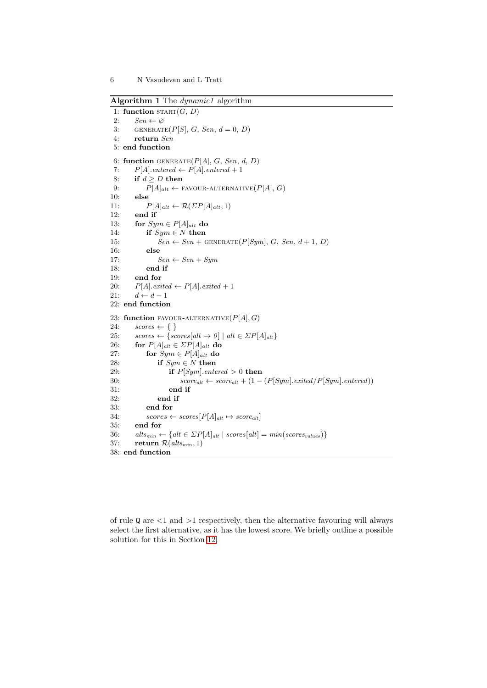<span id="page-5-0"></span>Algorithm 1 The *dynamic1* algorithm

```
1: function \text{star}(G, D)2: Sen \leftarrow \varnothing3: GENERATE(P[S], G, Sen, d = 0, D)4: return Sen
5: end function
 6: function GENERATE(P[A], G, Sen, d, D)7: P[A].entered \leftarrow P[A].entered + 1
 8: if d > D then
 9: P[A]_{alt} \leftarrow \text{FAVOUR-ALTERNATIVE}(P[A], G)10: else
11: P[A]_{alt} \leftarrow \mathcal{R}(\Sigma P[A]_{alt}, 1)12: end if
13: for Sym \in P[A]_{alt} do
14: if Sym \in N then
15: Sen \leftarrow Sen + \text{GENERALE}(P[Sym], G, Sen, d+1, D)16 \cdot else
17: Sen \leftarrow Sen + Sym18: end if
19: end for
20: P[A].exited \leftarrow P[A].exited + 121: d \leftarrow d - 122: end function
23: function FAVOUR-ALTERNATIVE(P[A], G)24: \begin{array}{l} \text{scores} \leftarrow \{\} \\ \text{25:} \qquad \text{scores} \leftarrow \{ \text{sc} \} \end{array}25: \text{scores} \leftarrow \{\text{scores}[alt \mapsto 0] \mid alt \in \Sigma P[A]_{alt}\}<br>26: \text{for } P[A]_{alt} \in \Sigma P[A]_{alt} \text{ do}26: for P[A]_{alt} \in \Sigma P[A]_{alt} do<br>27: for Sum \in P[A]_{alt} do
            for Sym \in P[A]_{alt} do
28: if Sym \in N then
29: if P[Sym]. entered > 0 then
30: score_{alt} \leftarrow score_{alt} + (1 - (P[Sym].exited/P[Sym].entered))31: end if
32: end if
33: end for
34: \qquad \qquad scores \leftarrow scores[P[A]_{alt} \mapsto score_{alt}]35: end for
36: alts<sub>min</sub> ← {alt \in \Sigma P[A]_{alt} | scores[alt] = min(scores<sub>values</sub>)}
37: return \mathcal{R}(alts_{min}, 1)38: end function
```
of rule  $\mathbb Q$  are  $\langle 1 \rangle$  and  $\langle 1 \rangle$  respectively, then the alternative favouring will always select the first alternative, as it has the lowest score. We briefly outline a possible solution for this in Section [12.](#page-17-0)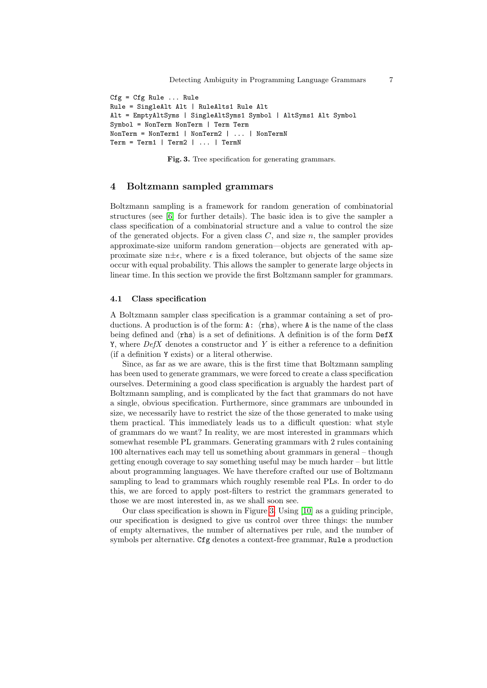```
Cfg = Cfg Rule ... Rule
Rule = SingleAlt Alt | RuleAlts1 Rule Alt
Alt = EmptyAltSyms | SingleAltSyms1 Symbol | AltSyms1 Alt Symbol
Symbol = NonTerm NonTerm | Term Term
NonTerm = NonTerm1 | NonTerm2 | ... | NonTermN
Term = Term1 | Term2 | ... | TermN
```
<span id="page-6-1"></span>Fig. 3. Tree specification for generating grammars.

# <span id="page-6-0"></span>4 Boltzmann sampled grammars

Boltzmann sampling is a framework for random generation of combinatorial structures (see [\[6\]](#page-18-11) for further details). The basic idea is to give the sampler a class specification of a combinatorial structure and a value to control the size of the generated objects. For a given class  $C$ , and size  $n$ , the sampler provides approximate-size uniform random generation—objects are generated with approximate size n $\pm \epsilon$ , where  $\epsilon$  is a fixed tolerance, but objects of the same size occur with equal probability. This allows the sampler to generate large objects in linear time. In this section we provide the first Boltzmann sampler for grammars.

#### 4.1 Class specification

A Boltzmann sampler class specification is a grammar containing a set of productions. A production is of the form:  $A: \langle \text{rhs} \rangle$ , where A is the name of the class being defined and  $\langle$ rhs) is a set of definitions. A definition is of the form DefX Y, where  $DefX$  denotes a constructor and Y is either a reference to a definition (if a definition Y exists) or a literal otherwise.

Since, as far as we are aware, this is the first time that Boltzmann sampling has been used to generate grammars, we were forced to create a class specification ourselves. Determining a good class specification is arguably the hardest part of Boltzmann sampling, and is complicated by the fact that grammars do not have a single, obvious specification. Furthermore, since grammars are unbounded in size, we necessarily have to restrict the size of the those generated to make using them practical. This immediately leads us to a difficult question: what style of grammars do we want? In reality, we are most interested in grammars which somewhat resemble PL grammars. Generating grammars with 2 rules containing 100 alternatives each may tell us something about grammars in general – though getting enough coverage to say something useful may be much harder – but little about programming languages. We have therefore crafted our use of Boltzmann sampling to lead to grammars which roughly resemble real PLs. In order to do this, we are forced to apply post-filters to restrict the grammars generated to those we are most interested in, as we shall soon see.

Our class specification is shown in Figure [3.](#page-6-1) Using [\[10\]](#page-18-12) as a guiding principle, our specification is designed to give us control over three things: the number of empty alternatives, the number of alternatives per rule, and the number of symbols per alternative. Cfg denotes a context-free grammar, Rule a production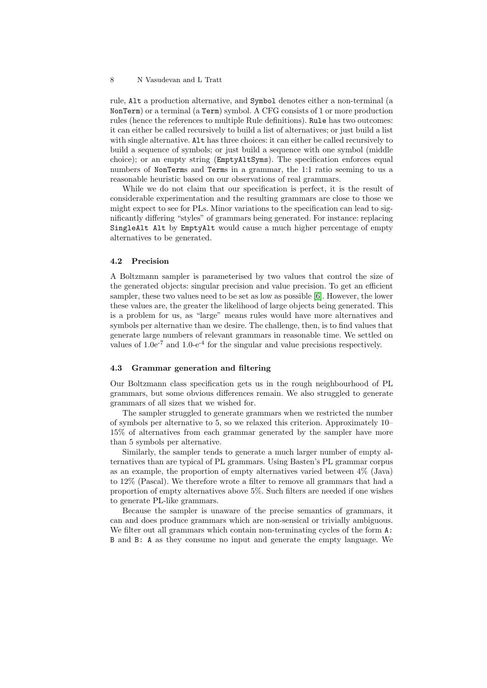rule, Alt a production alternative, and Symbol denotes either a non-terminal (a NonTerm) or a terminal (a Term) symbol. A CFG consists of 1 or more production rules (hence the references to multiple Rule definitions). Rule has two outcomes: it can either be called recursively to build a list of alternatives; or just build a list with single alternative. Alt has three choices: it can either be called recursively to build a sequence of symbols; or just build a sequence with one symbol (middle choice); or an empty string (EmptyAltSyms). The specification enforces equal numbers of NonTerms and Terms in a grammar, the 1:1 ratio seeming to us a reasonable heuristic based on our observations of real grammars.

While we do not claim that our specification is perfect, it is the result of considerable experimentation and the resulting grammars are close to those we might expect to see for PLs. Minor variations to the specification can lead to significantly differing "styles" of grammars being generated. For instance: replacing SingleAlt Alt by EmptyAlt would cause a much higher percentage of empty alternatives to be generated.

#### <span id="page-7-0"></span>4.2 Precision

A Boltzmann sampler is parameterised by two values that control the size of the generated objects: singular precision and value precision. To get an efficient sampler, these two values need to be set as low as possible [\[6\]](#page-18-11). However, the lower these values are, the greater the likelihood of large objects being generated. This is a problem for us, as "large" means rules would have more alternatives and symbols per alternative than we desire. The challenge, then, is to find values that generate large numbers of relevant grammars in reasonable time. We settled on values of  $1.0e^{-7}$  and  $1.0e^{-4}$  for the singular and value precisions respectively.

#### 4.3 Grammar generation and filtering

Our Boltzmann class specification gets us in the rough neighbourhood of PL grammars, but some obvious differences remain. We also struggled to generate grammars of all sizes that we wished for.

The sampler struggled to generate grammars when we restricted the number of symbols per alternative to 5, so we relaxed this criterion. Approximately 10– 15% of alternatives from each grammar generated by the sampler have more than 5 symbols per alternative.

Similarly, the sampler tends to generate a much larger number of empty alternatives than are typical of PL grammars. Using Basten's PL grammar corpus as an example, the proportion of empty alternatives varied between 4% (Java) to 12% (Pascal). We therefore wrote a filter to remove all grammars that had a proportion of empty alternatives above 5%. Such filters are needed if one wishes to generate PL-like grammars.

Because the sampler is unaware of the precise semantics of grammars, it can and does produce grammars which are non-sensical or trivially ambiguous. We filter out all grammars which contain non-terminating cycles of the form  $A$ : B and B: A as they consume no input and generate the empty language. We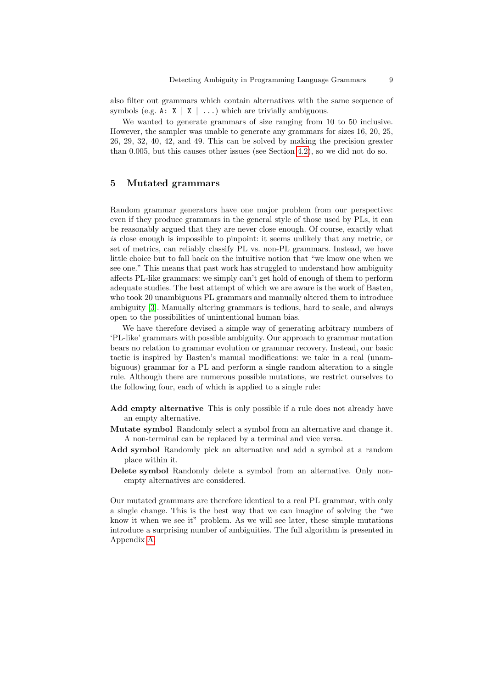also filter out grammars which contain alternatives with the same sequence of symbols (e.g.  $A: X \mid X \mid \ldots$ ) which are trivially ambiguous.

We wanted to generate grammars of size ranging from 10 to 50 inclusive. However, the sampler was unable to generate any grammars for sizes 16, 20, 25, 26, 29, 32, 40, 42, and 49. This can be solved by making the precision greater than 0.005, but this causes other issues (see Section [4.2\)](#page-7-0), so we did not do so.

# <span id="page-8-0"></span>5 Mutated grammars

Random grammar generators have one major problem from our perspective: even if they produce grammars in the general style of those used by PLs, it can be reasonably argued that they are never close enough. Of course, exactly what is close enough is impossible to pinpoint: it seems unlikely that any metric, or set of metrics, can reliably classify PL vs. non-PL grammars. Instead, we have little choice but to fall back on the intuitive notion that "we know one when we see one." This means that past work has struggled to understand how ambiguity affects PL-like grammars: we simply can't get hold of enough of them to perform adequate studies. The best attempt of which we are aware is the work of Basten, who took 20 unambiguous PL grammars and manually altered them to introduce ambiguity [\[3\]](#page-18-13). Manually altering grammars is tedious, hard to scale, and always open to the possibilities of unintentional human bias.

We have therefore devised a simple way of generating arbitrary numbers of 'PL-like' grammars with possible ambiguity. Our approach to grammar mutation bears no relation to grammar evolution or grammar recovery. Instead, our basic tactic is inspired by Basten's manual modifications: we take in a real (unambiguous) grammar for a PL and perform a single random alteration to a single rule. Although there are numerous possible mutations, we restrict ourselves to the following four, each of which is applied to a single rule:

- Add empty alternative This is only possible if a rule does not already have an empty alternative.
- Mutate symbol Randomly select a symbol from an alternative and change it. A non-terminal can be replaced by a terminal and vice versa.
- Add symbol Randomly pick an alternative and add a symbol at a random place within it.
- Delete symbol Randomly delete a symbol from an alternative. Only nonempty alternatives are considered.

Our mutated grammars are therefore identical to a real PL grammar, with only a single change. This is the best way that we can imagine of solving the "we know it when we see it" problem. As we will see later, these simple mutations introduce a surprising number of ambiguities. The full algorithm is presented in Appendix [A.](#page-19-0)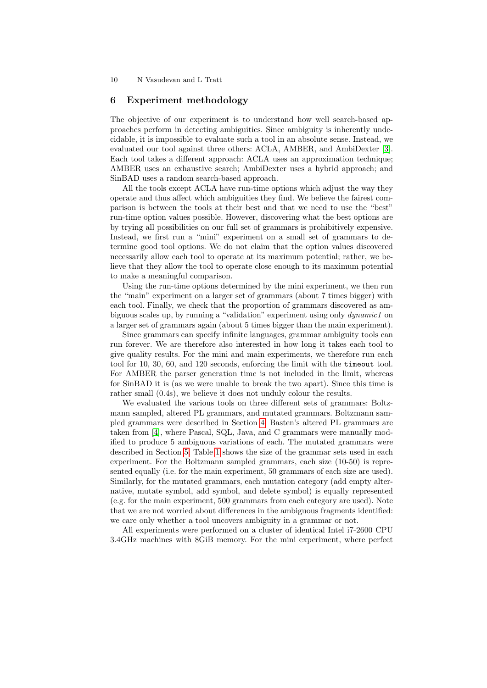# <span id="page-9-0"></span>6 Experiment methodology

The objective of our experiment is to understand how well search-based approaches perform in detecting ambiguities. Since ambiguity is inherently undecidable, it is impossible to evaluate such a tool in an absolute sense. Instead, we evaluated our tool against three others: ACLA, AMBER, and AmbiDexter [\[3\]](#page-18-13). Each tool takes a different approach: ACLA uses an approximation technique; AMBER uses an exhaustive search; AmbiDexter uses a hybrid approach; and SinBAD uses a random search-based approach.

All the tools except ACLA have run-time options which adjust the way they operate and thus affect which ambiguities they find. We believe the fairest comparison is between the tools at their best and that we need to use the "best" run-time option values possible. However, discovering what the best options are by trying all possibilities on our full set of grammars is prohibitively expensive. Instead, we first run a "mini" experiment on a small set of grammars to determine good tool options. We do not claim that the option values discovered necessarily allow each tool to operate at its maximum potential; rather, we believe that they allow the tool to operate close enough to its maximum potential to make a meaningful comparison.

Using the run-time options determined by the mini experiment, we then run the "main" experiment on a larger set of grammars (about 7 times bigger) with each tool. Finally, we check that the proportion of grammars discovered as ambiguous scales up, by running a "validation" experiment using only dynamic1 on a larger set of grammars again (about 5 times bigger than the main experiment).

Since grammars can specify infinite languages, grammar ambiguity tools can run forever. We are therefore also interested in how long it takes each tool to give quality results. For the mini and main experiments, we therefore run each tool for 10, 30, 60, and 120 seconds, enforcing the limit with the timeout tool. For AMBER the parser generation time is not included in the limit, whereas for SinBAD it is (as we were unable to break the two apart). Since this time is rather small (0.4s), we believe it does not unduly colour the results.

We evaluated the various tools on three different sets of grammars: Boltzmann sampled, altered PL grammars, and mutated grammars. Boltzmann sampled grammars were described in Section [4.](#page-6-0) Basten's altered PL grammars are taken from [\[4\]](#page-18-4), where Pascal, SQL, Java, and C grammars were manually modified to produce 5 ambiguous variations of each. The mutated grammars were described in Section [5.](#page-8-0) Table [1](#page-10-0) shows the size of the grammar sets used in each experiment. For the Boltzmann sampled grammars, each size (10-50) is represented equally (i.e. for the main experiment, 50 grammars of each size are used). Similarly, for the mutated grammars, each mutation category (add empty alternative, mutate symbol, add symbol, and delete symbol) is equally represented (e.g. for the main experiment, 500 grammars from each category are used). Note that we are not worried about differences in the ambiguous fragments identified: we care only whether a tool uncovers ambiguity in a grammar or not.

All experiments were performed on a cluster of identical Intel i7-2600 CPU 3.4GHz machines with 8GiB memory. For the mini experiment, where perfect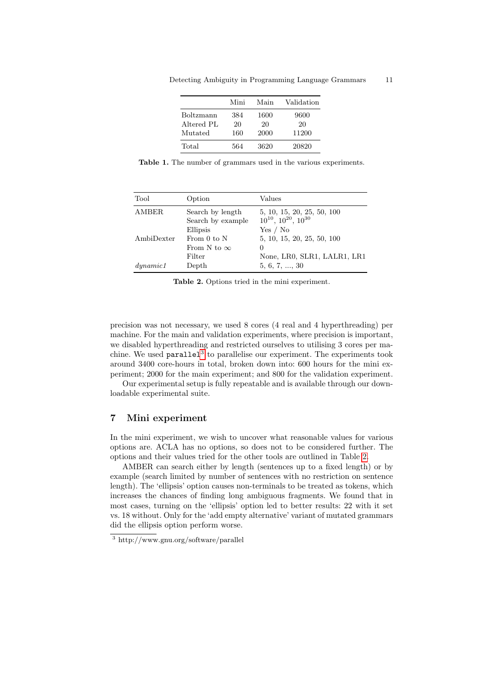|            | Mini | Main | Validation |
|------------|------|------|------------|
| Boltzmann  | 384  | 1600 | 9600       |
| Altered PL | 20   | 20   | 20         |
| Mutated    | 160  | 2000 | 11200      |
| Total      | 564  | 3620 | 20820      |

<span id="page-10-0"></span>Table 1. The number of grammars used in the various experiments.

| Tool         | Option                                            | Values                                                                      |
|--------------|---------------------------------------------------|-----------------------------------------------------------------------------|
| <b>AMBER</b> | Search by length<br>Search by example<br>Ellipsis | 5, 10, 15, 20, 25, 50, 100<br>$10^{10}$ , $10^{20}$ , $10^{30}$<br>Yes / No |
| AmbiDexter   | From $0$ to $N$<br>From N to $\infty$             | 5, 10, 15, 20, 25, 50, 100<br>$\theta$                                      |
| dynamic1     | Filter<br>Depth                                   | None, LRO, SLR1, LALR1, LR1<br>$5, 6, 7, \ldots, 30$                        |

<span id="page-10-2"></span>Table 2. Options tried in the mini experiment.

precision was not necessary, we used 8 cores (4 real and 4 hyperthreading) per machine. For the main and validation experiments, where precision is important, we disabled hyperthreading and restricted ourselves to utilising 3 cores per ma-chine. We used parallel<sup>[3](#page-10-1)</sup> to parallelise our experiment. The experiments took around 3400 core-hours in total, broken down into: 600 hours for the mini experiment; 2000 for the main experiment; and 800 for the validation experiment.

Our experimental setup is fully repeatable and is available through our downloadable experimental suite.

## 7 Mini experiment

In the mini experiment, we wish to uncover what reasonable values for various options are. ACLA has no options, so does not to be considered further. The options and their values tried for the other tools are outlined in Table [2.](#page-10-2)

AMBER can search either by length (sentences up to a fixed length) or by example (search limited by number of sentences with no restriction on sentence length). The 'ellipsis' option causes non-terminals to be treated as tokens, which increases the chances of finding long ambiguous fragments. We found that in most cases, turning on the 'ellipsis' option led to better results: 22 with it set vs. 18 without. Only for the 'add empty alternative' variant of mutated grammars did the ellipsis option perform worse.

<span id="page-10-1"></span><sup>3</sup> http://www.gnu.org/software/parallel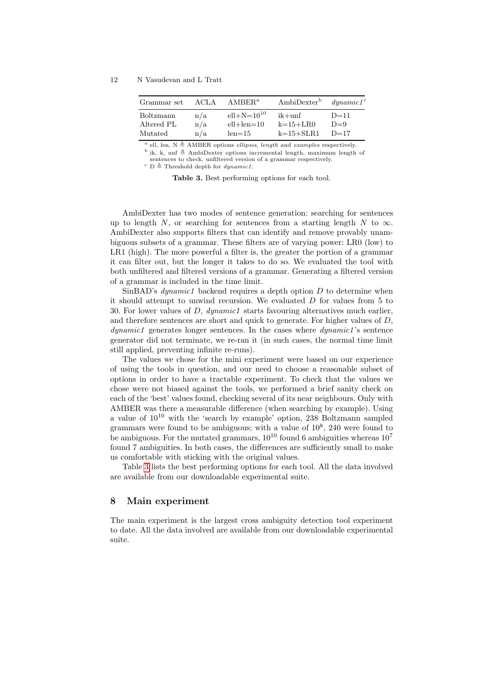| Grammar set | ACLA. | AMBER <sup>a</sup> | AmbiDexterb | dynamical <sup>c</sup> |
|-------------|-------|--------------------|-------------|------------------------|
| Boltzmann   | n/a   | $ell+N=10^{10}$    | $ik+unf$    | $D=11$                 |
| Altered PL  | n/a   | $ell+len=10$       | $k=15+LR0$  | $D=9$                  |
| Mutated     | n/a   | $len = 15$         | $k=15+SLR1$ | $D=17$                 |

<sup>a</sup> ell, len, N  $\triangleq$  AMBER options *ellipsis*, *length* and *examples* respectively.

 $\phi$  ik, k, unf  $\triangleq$  AmbiDexter options incremental length, maximum length of sentences to check, unfiltered version of a grammar respectively.

 $\in$  D  $\triangleq$  Threshold depth for *dynamic1*.

<span id="page-11-0"></span>Table 3. Best performing options for each tool.

AmbiDexter has two modes of sentence generation: searching for sentences up to length N, or searching for sentences from a starting length N to  $\infty$ . AmbiDexter also supports filters that can identify and remove provably unambiguous subsets of a grammar. These filters are of varying power: LR0 (low) to LR1 (high). The more powerful a filter is, the greater the portion of a grammar it can filter out, but the longer it takes to do so. We evaluated the tool with both unfiltered and filtered versions of a grammar. Generating a filtered version of a grammar is included in the time limit.

 $SinBAD's$  dynamic1 backend requires a depth option  $D$  to determine when it should attempt to unwind recursion. We evaluated  $D$  for values from 5 to 30. For lower values of  $D$ , *dynamic1* starts favouring alternatives much earlier, and therefore sentences are short and quick to generate. For higher values of  $D$ ,  $dynamical$  generates longer sentences. In the cases where  $dynamical$ 's sentence generator did not terminate, we re-ran it (in such cases, the normal time limit still applied, preventing infinite re-runs).

The values we chose for the mini experiment were based on our experience of using the tools in question, and our need to choose a reasonable subset of options in order to have a tractable experiment. To check that the values we chose were not biased against the tools, we performed a brief sanity check on each of the 'best' values found, checking several of its near neighbours. Only with AMBER was there a measurable difference (when searching by example). Using a value of  $10^{10}$  with the 'search by example' option, 238 Boltzmann sampled grammars were found to be ambiguous; with a value of  $10^8$ , 240 were found to be ambiguous. For the mutated grammars,  $10^{10}$  found 6 ambiguities whereas  $10^7$ found 7 ambiguities. In both cases, the differences are sufficiently small to make us comfortable with sticking with the original values.

Table [3](#page-11-0) lists the best performing options for each tool. All the data involved are available from our downloadable experimental suite.

# 8 Main experiment

The main experiment is the largest cross ambiguity detection tool experiment to date. All the data involved are available from our downloadable experimental suite.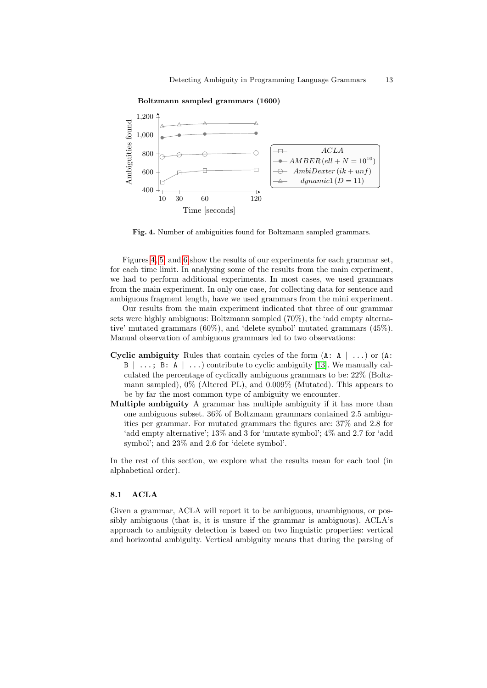

Boltzmann sampled grammars (1600)

<span id="page-12-0"></span>Fig. 4. Number of ambiguities found for Boltzmann sampled grammars.

Figures [4,](#page-12-0) [5,](#page-13-0) and [6](#page-14-0) show the results of our experiments for each grammar set, for each time limit. In analysing some of the results from the main experiment, we had to perform additional experiments. In most cases, we used grammars from the main experiment. In only one case, for collecting data for sentence and ambiguous fragment length, have we used grammars from the mini experiment.

Our results from the main experiment indicated that three of our grammar sets were highly ambiguous: Boltzmann sampled (70%), the 'add empty alternative' mutated grammars (60%), and 'delete symbol' mutated grammars (45%). Manual observation of ambiguous grammars led to two observations:

- **Cyclic ambiguity** Rules that contain cycles of the form  $(A: A | ...)$  or  $(A: A)$  $B \mid \ldots; B: A \mid \ldots$  contribute to cyclic ambiguity [\[13\]](#page-18-14). We manually calculated the percentage of cyclically ambiguous grammars to be: 22% (Boltzmann sampled), 0% (Altered PL), and 0.009% (Mutated). This appears to be by far the most common type of ambiguity we encounter.
- Multiple ambiguity A grammar has multiple ambiguity if it has more than one ambiguous subset. 36% of Boltzmann grammars contained 2.5 ambiguities per grammar. For mutated grammars the figures are: 37% and 2.8 for 'add empty alternative'; 13% and 3 for 'mutate symbol'; 4% and 2.7 for 'add symbol'; and 23% and 2.6 for 'delete symbol'.

In the rest of this section, we explore what the results mean for each tool (in alphabetical order).

## 8.1 ACLA

Given a grammar, ACLA will report it to be ambiguous, unambiguous, or possibly ambiguous (that is, it is unsure if the grammar is ambiguous). ACLA's approach to ambiguity detection is based on two linguistic properties: vertical and horizontal ambiguity. Vertical ambiguity means that during the parsing of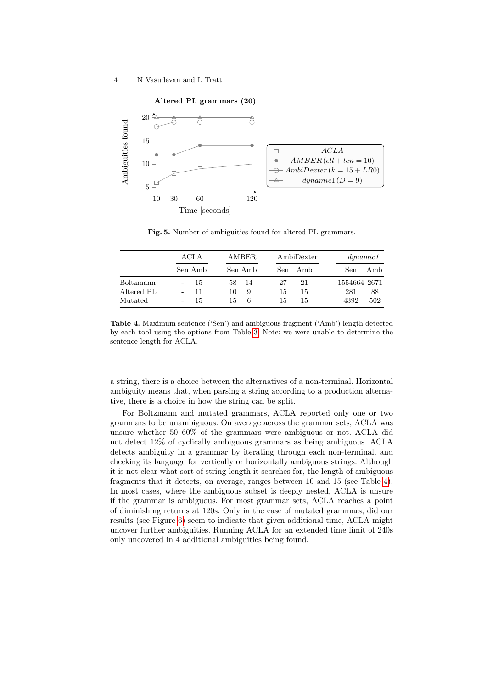

<span id="page-13-0"></span>Fig. 5. Number of ambiguities found for altered PL grammars.

|            | ACLA    | AMBER.      | AmbiDexter | dynamic1     |
|------------|---------|-------------|------------|--------------|
|            | Sen Amb | Sen Amb     | Sen<br>Amb | Amb<br>Sen   |
| Boltzmann  | 15      | - 14<br>58. | 27<br>21   | 1554664 2671 |
| Altered PL | 11      | 10<br>9     | 15<br>15   | 281<br>88    |
| Mutated    | 15      | 6<br>15     | 15<br>15   | 4392<br>502  |

<span id="page-13-1"></span>Table 4. Maximum sentence ('Sen') and ambiguous fragment ('Amb') length detected by each tool using the options from Table [3.](#page-11-0) Note: we were unable to determine the sentence length for ACLA.

a string, there is a choice between the alternatives of a non-terminal. Horizontal ambiguity means that, when parsing a string according to a production alternative, there is a choice in how the string can be split.

For Boltzmann and mutated grammars, ACLA reported only one or two grammars to be unambiguous. On average across the grammar sets, ACLA was unsure whether 50–60% of the grammars were ambiguous or not. ACLA did not detect 12% of cyclically ambiguous grammars as being ambiguous. ACLA detects ambiguity in a grammar by iterating through each non-terminal, and checking its language for vertically or horizontally ambiguous strings. Although it is not clear what sort of string length it searches for, the length of ambiguous fragments that it detects, on average, ranges between 10 and 15 (see Table [4\)](#page-13-1). In most cases, where the ambiguous subset is deeply nested, ACLA is unsure if the grammar is ambiguous. For most grammar sets, ACLA reaches a point of diminishing returns at 120s. Only in the case of mutated grammars, did our results (see Figure [6\)](#page-14-0) seem to indicate that given additional time, ACLA might uncover further ambiguities. Running ACLA for an extended time limit of 240s only uncovered in 4 additional ambiguities being found.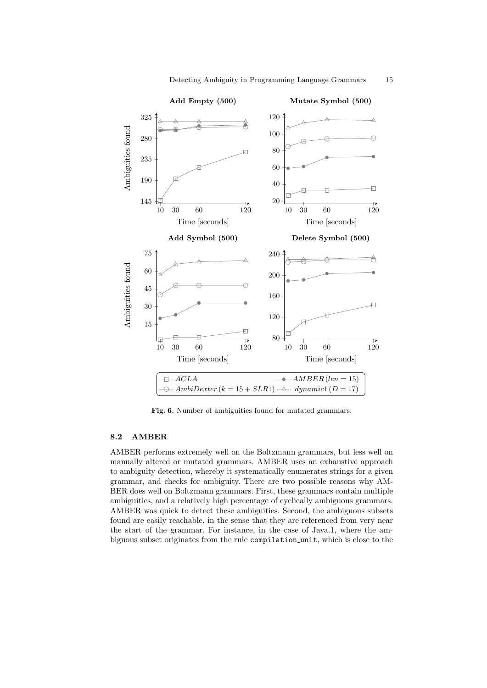

<span id="page-14-0"></span>Fig. 6. Number of ambiguities found for mutated grammars.

# 8.2 AMBER

AMBER performs extremely well on the Boltzmann grammars, but less well on manually altered or mutated grammars. AMBER uses an exhaustive approach to ambiguity detection, whereby it systematically enumerates strings for a given grammar, and checks for ambiguity. There are two possible reasons why AM-BER does well on Boltzmann grammars. First, these grammars contain multiple ambiguities, and a relatively high percentage of cyclically ambiguous grammars. AMBER was quick to detect these ambiguities. Second, the ambiguous subsets found are easily reachable, in the sense that they are referenced from very near the start of the grammar. For instance, in the case of Java.1, where the ambiguous subset originates from the rule compilation unit, which is close to the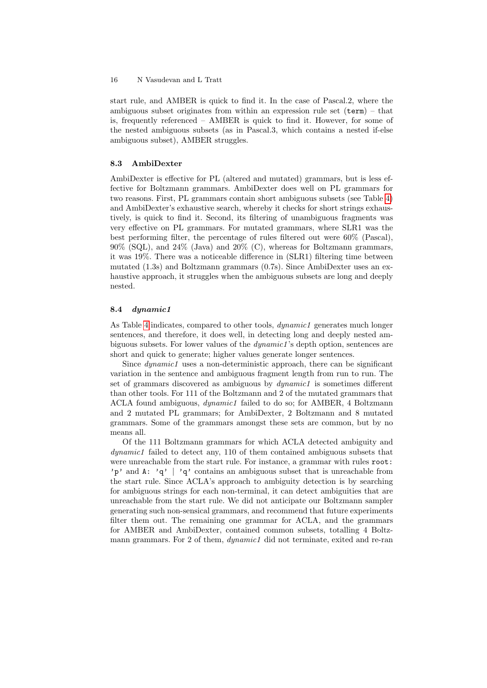start rule, and AMBER is quick to find it. In the case of Pascal.2, where the ambiguous subset originates from within an expression rule set  $(\text{term})$  – that is, frequently referenced – AMBER is quick to find it. However, for some of the nested ambiguous subsets (as in Pascal.3, which contains a nested if-else ambiguous subset), AMBER struggles.

## 8.3 AmbiDexter

AmbiDexter is effective for PL (altered and mutated) grammars, but is less effective for Boltzmann grammars. AmbiDexter does well on PL grammars for two reasons. First, PL grammars contain short ambiguous subsets (see Table [4\)](#page-13-1) and AmbiDexter's exhaustive search, whereby it checks for short strings exhaustively, is quick to find it. Second, its filtering of unambiguous fragments was very effective on PL grammars. For mutated grammars, where SLR1 was the best performing filter, the percentage of rules filtered out were 60% (Pascal),  $90\%$  (SQL), and  $24\%$  (Java) and  $20\%$  (C), whereas for Boltzmann grammars, it was 19%. There was a noticeable difference in (SLR1) filtering time between mutated (1.3s) and Boltzmann grammars (0.7s). Since AmbiDexter uses an exhaustive approach, it struggles when the ambiguous subsets are long and deeply nested.

## 8.4 dynamic1

As Table [4](#page-13-1) indicates, compared to other tools, dynamic1 generates much longer sentences, and therefore, it does well, in detecting long and deeply nested ambiguous subsets. For lower values of the *dynamic1*'s depth option, sentences are short and quick to generate; higher values generate longer sentences.

Since dynamic1 uses a non-deterministic approach, there can be significant variation in the sentence and ambiguous fragment length from run to run. The set of grammars discovered as ambiguous by *dynamic1* is sometimes different than other tools. For 111 of the Boltzmann and 2 of the mutated grammars that ACLA found ambiguous, dynamic1 failed to do so; for AMBER, 4 Boltzmann and 2 mutated PL grammars; for AmbiDexter, 2 Boltzmann and 8 mutated grammars. Some of the grammars amongst these sets are common, but by no means all.

Of the 111 Boltzmann grammars for which ACLA detected ambiguity and dynamic1 failed to detect any, 110 of them contained ambiguous subsets that were unreachable from the start rule. For instance, a grammar with rules root:  $'p'$  and A:  $'q'$  |  $'q'$  contains an ambiguous subset that is unreachable from the start rule. Since ACLA's approach to ambiguity detection is by searching for ambiguous strings for each non-terminal, it can detect ambiguities that are unreachable from the start rule. We did not anticipate our Boltzmann sampler generating such non-sensical grammars, and recommend that future experiments filter them out. The remaining one grammar for ACLA, and the grammars for AMBER and AmbiDexter, contained common subsets, totalling 4 Boltzmann grammars. For 2 of them, *dynamic1* did not terminate, exited and re-ran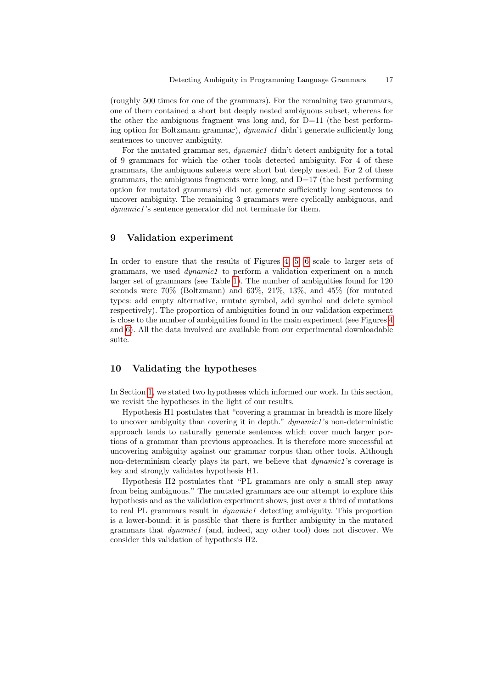(roughly 500 times for one of the grammars). For the remaining two grammars, one of them contained a short but deeply nested ambiguous subset, whereas for the other the ambiguous fragment was long and, for  $D=11$  (the best performing option for Boltzmann grammar), dynamic1 didn't generate sufficiently long sentences to uncover ambiguity.

For the mutated grammar set, dynamic1 didn't detect ambiguity for a total of 9 grammars for which the other tools detected ambiguity. For 4 of these grammars, the ambiguous subsets were short but deeply nested. For 2 of these grammars, the ambiguous fragments were long, and D=17 (the best performing option for mutated grammars) did not generate sufficiently long sentences to uncover ambiguity. The remaining 3 grammars were cyclically ambiguous, and dynamic1 's sentence generator did not terminate for them.

# 9 Validation experiment

In order to ensure that the results of Figures [4,](#page-12-0) [5,](#page-13-0) [6](#page-14-0) scale to larger sets of grammars, we used dynamic1 to perform a validation experiment on a much larger set of grammars (see Table [1\)](#page-10-0). The number of ambiguities found for 120 seconds were 70% (Boltzmann) and 63%, 21%, 13%, and 45% (for mutated types: add empty alternative, mutate symbol, add symbol and delete symbol respectively). The proportion of ambiguities found in our validation experiment is close to the number of ambiguities found in the main experiment (see Figures [4](#page-12-0) and [6\)](#page-14-0). All the data involved are available from our experimental downloadable suite.

# <span id="page-16-0"></span>10 Validating the hypotheses

In Section [1,](#page-1-0) we stated two hypotheses which informed our work. In this section, we revisit the hypotheses in the light of our results.

Hypothesis H1 postulates that "covering a grammar in breadth is more likely to uncover ambiguity than covering it in depth." dynamic1's non-deterministic approach tends to naturally generate sentences which cover much larger portions of a grammar than previous approaches. It is therefore more successful at uncovering ambiguity against our grammar corpus than other tools. Although non-determinism clearly plays its part, we believe that *dynamic1*'s coverage is key and strongly validates hypothesis H1.

Hypothesis H2 postulates that "PL grammars are only a small step away from being ambiguous." The mutated grammars are our attempt to explore this hypothesis and as the validation experiment shows, just over a third of mutations to real PL grammars result in *dynamic1* detecting ambiguity. This proportion is a lower-bound: it is possible that there is further ambiguity in the mutated grammars that dynamic1 (and, indeed, any other tool) does not discover. We consider this validation of hypothesis H2.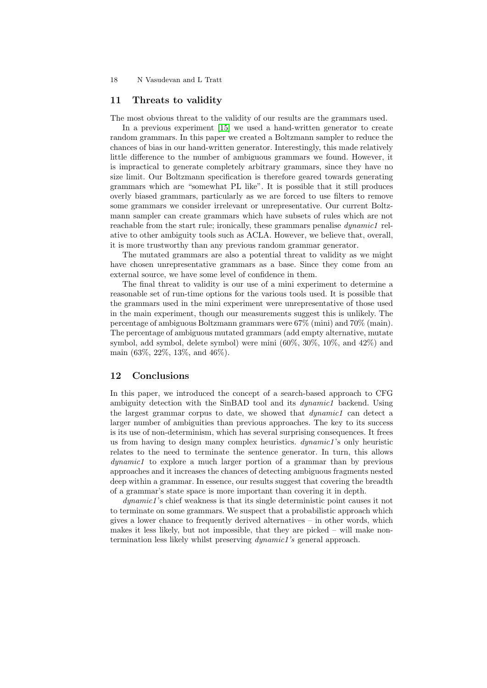## 11 Threats to validity

The most obvious threat to the validity of our results are the grammars used.

In a previous experiment [\[15\]](#page-18-8) we used a hand-written generator to create random grammars. In this paper we created a Boltzmann sampler to reduce the chances of bias in our hand-written generator. Interestingly, this made relatively little difference to the number of ambiguous grammars we found. However, it is impractical to generate completely arbitrary grammars, since they have no size limit. Our Boltzmann specification is therefore geared towards generating grammars which are "somewhat PL like". It is possible that it still produces overly biased grammars, particularly as we are forced to use filters to remove some grammars we consider irrelevant or unrepresentative. Our current Boltzmann sampler can create grammars which have subsets of rules which are not reachable from the start rule; ironically, these grammars penalise *dynamic1* relative to other ambiguity tools such as ACLA. However, we believe that, overall, it is more trustworthy than any previous random grammar generator.

The mutated grammars are also a potential threat to validity as we might have chosen unrepresentative grammars as a base. Since they come from an external source, we have some level of confidence in them.

The final threat to validity is our use of a mini experiment to determine a reasonable set of run-time options for the various tools used. It is possible that the grammars used in the mini experiment were unrepresentative of those used in the main experiment, though our measurements suggest this is unlikely. The percentage of ambiguous Boltzmann grammars were 67% (mini) and 70% (main). The percentage of ambiguous mutated grammars (add empty alternative, mutate symbol, add symbol, delete symbol) were mini (60%, 30%, 10%, and 42%) and main (63%, 22%, 13%, and 46%).

# <span id="page-17-0"></span>12 Conclusions

In this paper, we introduced the concept of a search-based approach to CFG ambiguity detection with the SinBAD tool and its dynamic1 backend. Using the largest grammar corpus to date, we showed that dynamic1 can detect a larger number of ambiguities than previous approaches. The key to its success is its use of non-determinism, which has several surprising consequences. It frees us from having to design many complex heuristics. *dynamic1*'s only heuristic relates to the need to terminate the sentence generator. In turn, this allows dynamic1 to explore a much larger portion of a grammar than by previous approaches and it increases the chances of detecting ambiguous fragments nested deep within a grammar. In essence, our results suggest that covering the breadth of a grammar's state space is more important than covering it in depth.

dynamic1 's chief weakness is that its single deterministic point causes it not to terminate on some grammars. We suspect that a probabilistic approach which gives a lower chance to frequently derived alternatives – in other words, which makes it less likely, but not impossible, that they are picked – will make nontermination less likely whilst preserving *dynamic1's* general approach.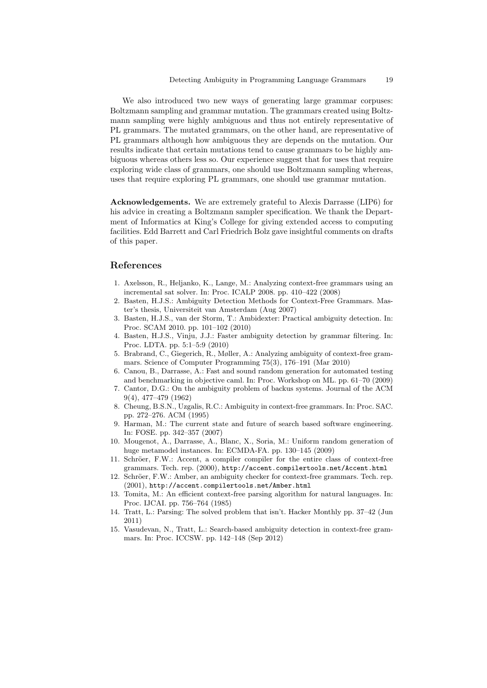We also introduced two new ways of generating large grammar corpuses: Boltzmann sampling and grammar mutation. The grammars created using Boltzmann sampling were highly ambiguous and thus not entirely representative of PL grammars. The mutated grammars, on the other hand, are representative of PL grammars although how ambiguous they are depends on the mutation. Our results indicate that certain mutations tend to cause grammars to be highly ambiguous whereas others less so. Our experience suggest that for uses that require exploring wide class of grammars, one should use Boltzmann sampling whereas, uses that require exploring PL grammars, one should use grammar mutation.

Acknowledgements. We are extremely grateful to Alexis Darrasse (LIP6) for his advice in creating a Boltzmann sampler specification. We thank the Department of Informatics at King's College for giving extended access to computing facilities. Edd Barrett and Carl Friedrich Bolz gave insightful comments on drafts of this paper.

# References

- <span id="page-18-5"></span>1. Axelsson, R., Heljanko, K., Lange, M.: Analyzing context-free grammars using an incremental sat solver. In: Proc. ICALP 2008. pp. 410–422 (2008)
- <span id="page-18-7"></span>2. Basten, H.J.S.: Ambiguity Detection Methods for Context-Free Grammars. Master's thesis, Universiteit van Amsterdam (Aug 2007)
- <span id="page-18-13"></span>3. Basten, H.J.S., van der Storm, T.: Ambidexter: Practical ambiguity detection. In: Proc. SCAM 2010. pp. 101–102 (2010)
- <span id="page-18-4"></span>4. Basten, H.J.S., Vinju, J.J.: Faster ambiguity detection by grammar filtering. In: Proc. LDTA. pp. 5:1–5:9 (2010)
- <span id="page-18-3"></span>5. Brabrand, C., Giegerich, R., Møller, A.: Analyzing ambiguity of context-free grammars. Science of Computer Programming 75(3), 176–191 (Mar 2010)
- <span id="page-18-11"></span>6. Canou, B., Darrasse, A.: Fast and sound random generation for automated testing and benchmarking in objective caml. In: Proc. Workshop on ML. pp. 61–70 (2009)
- <span id="page-18-0"></span>7. Cantor, D.G.: On the ambiguity problem of backus systems. Journal of the ACM 9(4), 477–479 (1962)
- <span id="page-18-6"></span>8. Cheung, B.S.N., Uzgalis, R.C.: Ambiguity in context-free grammars. In: Proc. SAC. pp. 272–276. ACM (1995)
- <span id="page-18-9"></span>Harman, M.: The current state and future of search based software engineering. In: FOSE. pp. 342–357 (2007)
- <span id="page-18-12"></span>10. Mougenot, A., Darrasse, A., Blanc, X., Soria, M.: Uniform random generation of huge metamodel instances. In: ECMDA-FA. pp. 130–145 (2009)
- <span id="page-18-10"></span>11. Schröer, F.W.: Accent, a compiler compiler for the entire class of context-free grammars. Tech. rep. (2000), http://accent.compilertools.net/Accent.html
- <span id="page-18-2"></span>12. Schröer, F.W.: Amber, an ambiguity checker for context-free grammars. Tech. rep. (2001), http://accent.compilertools.net/Amber.html
- <span id="page-18-14"></span>13. Tomita, M.: An efficient context-free parsing algorithm for natural languages. In: Proc. IJCAI. pp. 756–764 (1985)
- <span id="page-18-1"></span>14. Tratt, L.: Parsing: The solved problem that isn't. Hacker Monthly pp. 37–42 (Jun 2011)
- <span id="page-18-8"></span>15. Vasudevan, N., Tratt, L.: Search-based ambiguity detection in context-free grammars. In: Proc. ICCSW. pp. 142–148 (Sep 2012)